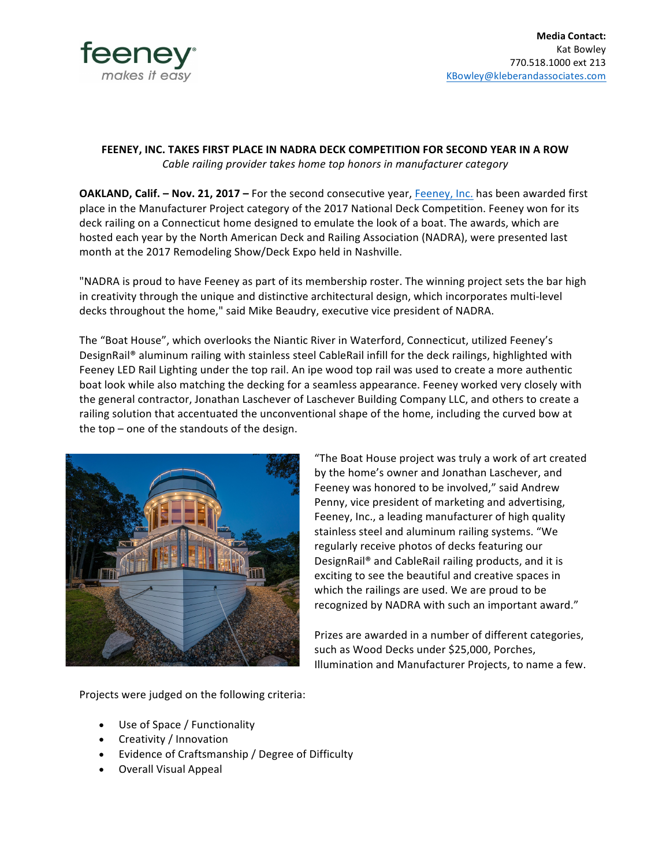

## **FEENEY, INC. TAKES FIRST PLACE IN NADRA DECK COMPETITION FOR SECOND YEAR IN A ROW** *Cable railing provider takes home top honors in manufacturer category*

**OAKLAND, Calif. - Nov. 21, 2017 - For the second consecutive year, Feeney, Inc. has been awarded first** place in the Manufacturer Project category of the 2017 National Deck Competition. Feeney won for its deck railing on a Connecticut home designed to emulate the look of a boat. The awards, which are hosted each year by the North American Deck and Railing Association (NADRA), were presented last month at the 2017 Remodeling Show/Deck Expo held in Nashville.

"NADRA is proud to have Feeney as part of its membership roster. The winning project sets the bar high in creativity through the unique and distinctive architectural design, which incorporates multi-level decks throughout the home," said Mike Beaudry, executive vice president of NADRA.

The "Boat House", which overlooks the Niantic River in Waterford, Connecticut, utilized Feeney's DesignRail® aluminum railing with stainless steel CableRail infill for the deck railings, highlighted with Feeney LED Rail Lighting under the top rail. An ipe wood top rail was used to create a more authentic boat look while also matching the decking for a seamless appearance. Feeney worked very closely with the general contractor, Jonathan Laschever of Laschever Building Company LLC, and others to create a railing solution that accentuated the unconventional shape of the home, including the curved bow at the  $top$  – one of the standouts of the design.



"The Boat House project was truly a work of art created by the home's owner and Jonathan Laschever, and Feeney was honored to be involved," said Andrew Penny, vice president of marketing and advertising, Feeney, Inc., a leading manufacturer of high quality stainless steel and aluminum railing systems. "We regularly receive photos of decks featuring our DesignRail<sup>®</sup> and CableRail railing products, and it is exciting to see the beautiful and creative spaces in which the railings are used. We are proud to be recognized by NADRA with such an important award."

Prizes are awarded in a number of different categories, such as Wood Decks under \$25,000, Porches, Illumination and Manufacturer Projects, to name a few.

Projects were judged on the following criteria:

- Use of Space / Functionality
- Creativity / Innovation
- Evidence of Craftsmanship / Degree of Difficulty
- Overall Visual Appeal